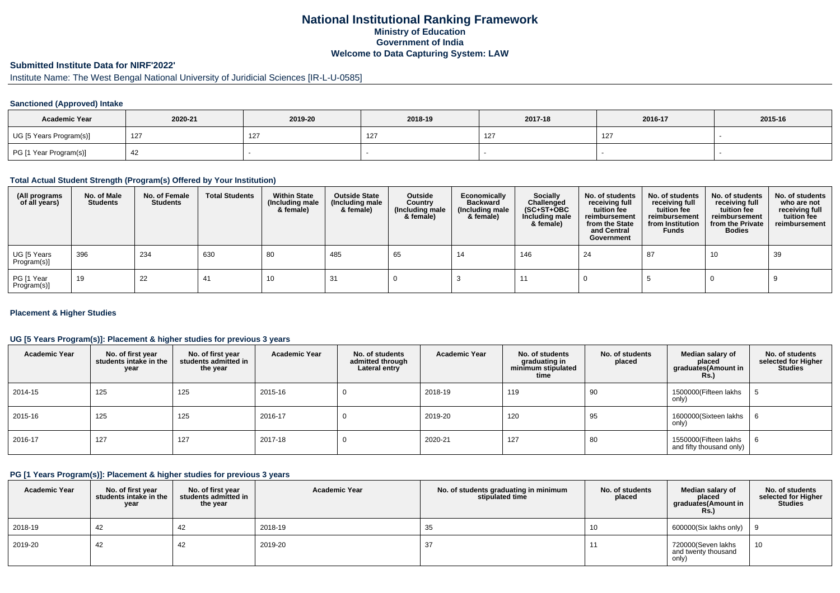## **National Institutional Ranking FrameworkMinistry of Education Government of IndiaWelcome to Data Capturing System: LAW**

# **Submitted Institute Data for NIRF'2022'**

# Institute Name: The West Bengal National University of Juridicial Sciences [IR-L-U-0585]

### **Sanctioned (Approved) Intake**

| <b>Academic Year</b>    | 2020-21 | 2019-20 | 2018-19 | 2017-18 | 2016-17 | 2015-16 |
|-------------------------|---------|---------|---------|---------|---------|---------|
| UG [5 Years Program(s)] | 127     | 127     |         | 127     | 127     |         |
| PG [1 Year Program(s)]  |         |         |         |         |         |         |

#### **Total Actual Student Strength (Program(s) Offered by Your Institution)**

| (All programs<br>of all years) | No. of Male<br><b>Students</b> | No. of Female<br>Students | <b>Total Students</b> | <b>Within State</b><br>(Including male<br>& female) | <b>Outside State</b><br>(Including male<br>& female) | Outside<br>Country<br>(Including male<br>& female) | Economically<br>Backward<br>(Including male<br>& female) | <b>Socially</b><br>Challenged<br>$(SC+ST+OBC)$<br>Including male<br>& female) | No. of students<br>receiving full<br>tuition fee<br>reimbursement<br>from the State<br>and Central<br>Government | No. of students<br>receiving full<br>tuition fee<br>reimbursement<br>from Institution<br><b>Funds</b> | No. of students<br>receiving full<br>tuition fee<br>reimbursement<br>from the Private<br><b>Bodies</b> | No. of students<br>who are not<br>receiving full<br>tuition fee<br>reimbursement |
|--------------------------------|--------------------------------|---------------------------|-----------------------|-----------------------------------------------------|------------------------------------------------------|----------------------------------------------------|----------------------------------------------------------|-------------------------------------------------------------------------------|------------------------------------------------------------------------------------------------------------------|-------------------------------------------------------------------------------------------------------|--------------------------------------------------------------------------------------------------------|----------------------------------------------------------------------------------|
| UG [5 Years<br>Program(s)]     | 396                            | 234                       | 630                   | 80                                                  | 485                                                  | 65                                                 | 14                                                       | 146                                                                           | 24                                                                                                               | 87                                                                                                    | 10                                                                                                     | 39                                                                               |
| PG [1 Year<br>Program(s)]      | 19                             | 22                        |                       | 10                                                  |                                                      |                                                    |                                                          |                                                                               |                                                                                                                  |                                                                                                       |                                                                                                        |                                                                                  |

### **Placement & Higher Studies**

### **UG [5 Years Program(s)]: Placement & higher studies for previous 3 years**

| <b>Academic Year</b> | No. of first year<br>students intake in the<br>year | No. of first year<br>students admitted in<br>the year | <b>Academic Year</b> | No. of students<br>admitted through<br>Lateral entry | <b>Academic Year</b> | No. of students<br>graduating in<br>minimum stipulated<br>time | No. of students<br>placed | Median salary of<br>placed<br>graduates(Amount in<br>Rs.) | No. of students<br>selected for Higher<br><b>Studies</b> |
|----------------------|-----------------------------------------------------|-------------------------------------------------------|----------------------|------------------------------------------------------|----------------------|----------------------------------------------------------------|---------------------------|-----------------------------------------------------------|----------------------------------------------------------|
| 2014-15              | 125                                                 | 125                                                   | 2015-16              |                                                      | 2018-19              | 119                                                            | 90                        | 1500000(Fifteen lakhs<br>only)                            |                                                          |
| 2015-16              | 125                                                 | 125                                                   | 2016-17              |                                                      | 2019-20              | 120                                                            | 95                        | 1600000(Sixteen lakhs<br>only)                            |                                                          |
| 2016-17              | 127                                                 | 127                                                   | 2017-18              |                                                      | 2020-21              | 127                                                            | 80                        | 1550000(Fifteen lakhs<br>and fifty thousand only)         | D.                                                       |

#### **PG [1 Years Program(s)]: Placement & higher studies for previous 3 years**

| <b>Academic Year</b> | No. of first year<br>students intake in the<br>year | No. of first year<br>students admitted in<br>the year | <b>Academic Year</b> | No. of students graduating in minimum<br>stipulated time | No. of students<br>placed | Median salary of<br>placed<br>graduates(Amount in<br>Rs. | No. of students<br>selected for Higher<br><b>Studies</b> |
|----------------------|-----------------------------------------------------|-------------------------------------------------------|----------------------|----------------------------------------------------------|---------------------------|----------------------------------------------------------|----------------------------------------------------------|
| 2018-19              | -42                                                 | 42                                                    | 2018-19              | 35                                                       | 10                        | 600000(Six lakhs only) $\vert$ 9                         |                                                          |
| 2019-20              | 42                                                  | 42                                                    | 2019-20              | 37                                                       |                           | 720000(Seven lakhs<br>and twenty thousand<br>only)       | 10                                                       |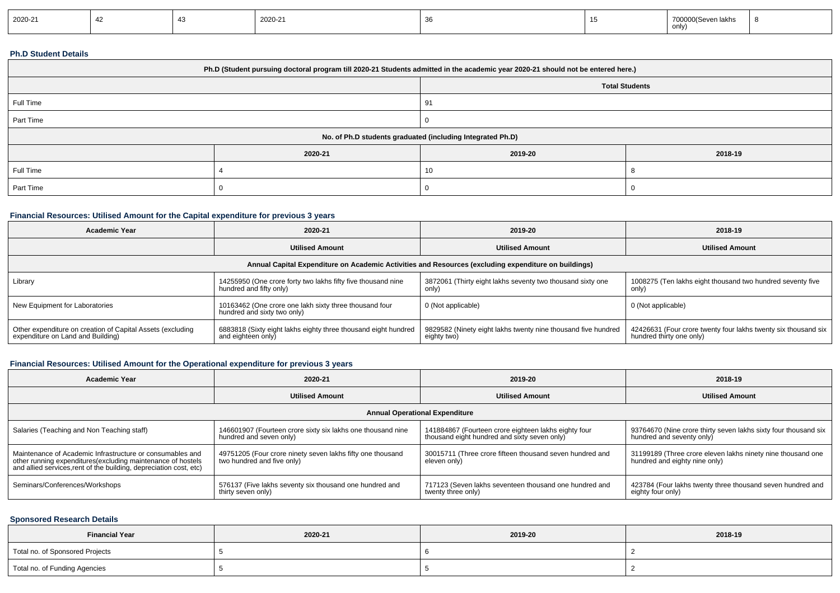| 2020-21 |  | 2020-21 |  | 700000(Sever)<br>0.00103<br>n lakhs<br>only) |  |
|---------|--|---------|--|----------------------------------------------|--|
|         |  |         |  |                                              |  |

#### **Ph.D Student Details**

| Ph.D (Student pursuing doctoral program till 2020-21 Students admitted in the academic year 2020-21 should not be entered here.) |         |                       |         |  |
|----------------------------------------------------------------------------------------------------------------------------------|---------|-----------------------|---------|--|
|                                                                                                                                  |         | <b>Total Students</b> |         |  |
| Full Time                                                                                                                        |         | -91                   |         |  |
| Part Time                                                                                                                        |         |                       |         |  |
| No. of Ph.D students graduated (including Integrated Ph.D)                                                                       |         |                       |         |  |
|                                                                                                                                  | 2020-21 | 2019-20               | 2018-19 |  |
| Full Time                                                                                                                        |         | 10                    |         |  |
| Part Time                                                                                                                        |         |                       |         |  |

## **Financial Resources: Utilised Amount for the Capital expenditure for previous 3 years**

| Academic Year                                                                                        | 2020-21                                                                                 | 2019-20                                                                      | 2018-19                                                                                    |  |  |  |  |
|------------------------------------------------------------------------------------------------------|-----------------------------------------------------------------------------------------|------------------------------------------------------------------------------|--------------------------------------------------------------------------------------------|--|--|--|--|
|                                                                                                      | <b>Utilised Amount</b>                                                                  | <b>Utilised Amount</b>                                                       | <b>Utilised Amount</b>                                                                     |  |  |  |  |
| Annual Capital Expenditure on Academic Activities and Resources (excluding expenditure on buildings) |                                                                                         |                                                                              |                                                                                            |  |  |  |  |
| Library                                                                                              | 14255950 (One crore forty two lakhs fifty five thousand nine<br>hundred and fifty only) | 3872061 (Thirty eight lakhs seventy two thousand sixty one<br>only)          | 1008275 (Ten lakhs eight thousand two hundred seventy five<br>only)                        |  |  |  |  |
| New Equipment for Laboratories                                                                       | 10163462 (One crore one lakh sixty three thousand four<br>hundred and sixty two only)   | 0 (Not applicable)                                                           | 0 (Not applicable)                                                                         |  |  |  |  |
| Other expenditure on creation of Capital Assets (excluding<br>expenditure on Land and Building)      | 6883818 (Sixty eight lakhs eighty three thousand eight hundred<br>and eighteen only)    | 9829582 (Ninety eight lakhs twenty nine thousand five hundred<br>eighty two) | 42426631 (Four crore twenty four lakhs twenty six thousand six<br>hundred thirty one only) |  |  |  |  |

# **Financial Resources: Utilised Amount for the Operational expenditure for previous 3 years**

| <b>Academic Year</b>                                                                                                                                                                            | 2020-21                                                                                  | 2019-20                                                                                              | 2018-19                                                                                      |  |  |  |  |
|-------------------------------------------------------------------------------------------------------------------------------------------------------------------------------------------------|------------------------------------------------------------------------------------------|------------------------------------------------------------------------------------------------------|----------------------------------------------------------------------------------------------|--|--|--|--|
|                                                                                                                                                                                                 | <b>Utilised Amount</b>                                                                   | <b>Utilised Amount</b>                                                                               | <b>Utilised Amount</b>                                                                       |  |  |  |  |
| <b>Annual Operational Expenditure</b>                                                                                                                                                           |                                                                                          |                                                                                                      |                                                                                              |  |  |  |  |
| Salaries (Teaching and Non Teaching staff)                                                                                                                                                      | 146601907 (Fourteen crore sixty six lakhs one thousand nine<br>hundred and seven only)   | 141884867 (Fourteen crore eighteen lakhs eighty four<br>thousand eight hundred and sixty seven only) | 93764670 (Nine crore thirty seven lakhs sixty four thousand six<br>hundred and seventy only) |  |  |  |  |
| Maintenance of Academic Infrastructure or consumables and<br>other running expenditures (excluding maintenance of hostels<br>and allied services, rent of the building, depreciation cost, etc) | 49751205 (Four crore ninety seven lakhs fifty one thousand<br>two hundred and five only) | 30015711 (Three crore fifteen thousand seven hundred and<br>eleven only)                             | 31199189 (Three crore eleven lakhs ninety nine thousand one<br>hundred and eighty nine only) |  |  |  |  |
| Seminars/Conferences/Workshops                                                                                                                                                                  | 576137 (Five lakhs seventy six thousand one hundred and<br>thirty seven only)            | 717123 (Seven lakhs seventeen thousand one hundred and<br>twenty three only)                         | 423784 (Four lakhs twenty three thousand seven hundred and<br>eighty four only)              |  |  |  |  |

### **Sponsored Research Details**

| <b>Financial Year</b>           | 2020-21 | 2019-20 | 2018-19 |
|---------------------------------|---------|---------|---------|
| Total no. of Sponsored Projects |         |         |         |
| Total no. of Funding Agencies   |         |         |         |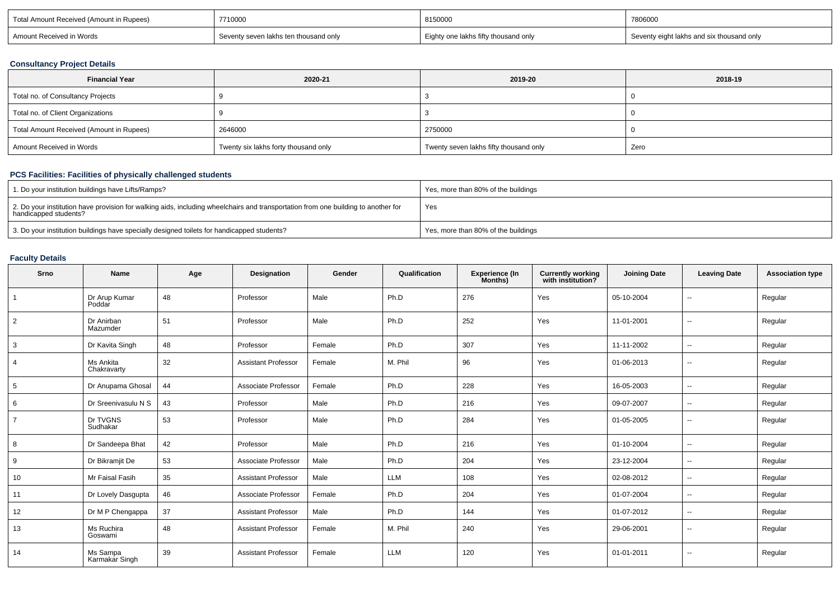| Total Amount Received (Amount in Rupees) | 7710000                               | 8150000                              | 7806000                                   |
|------------------------------------------|---------------------------------------|--------------------------------------|-------------------------------------------|
| Amount Received in Words                 | Seventy seven lakhs ten thousand only | Eighty one lakhs fifty thousand only | Seventy eight lakhs and six thousand only |

## **Consultancy Project Details**

| <b>Financial Year</b>                    | 2020-21                              | 2019-20                                | 2018-19 |
|------------------------------------------|--------------------------------------|----------------------------------------|---------|
| Total no. of Consultancy Projects        |                                      |                                        |         |
| Total no. of Client Organizations        |                                      |                                        |         |
| Total Amount Received (Amount in Rupees) | 2646000                              | 2750000                                |         |
| Amount Received in Words                 | Twenty six lakhs forty thousand only | Twenty seven lakhs fifty thousand only | Zero    |

# **PCS Facilities: Facilities of physically challenged students**

| 1. Do your institution buildings have Lifts/Ramps?                                                                                                         | Yes, more than 80% of the buildings |
|------------------------------------------------------------------------------------------------------------------------------------------------------------|-------------------------------------|
| 2. Do your institution have provision for walking aids, including wheelchairs and transportation from one building to another for<br>handicapped students? | Yes                                 |
| 3. Do your institution buildings have specially designed toilets for handicapped students?                                                                 | Yes, more than 80% of the buildings |

## **Faculty Details**

| Srno           | Name                       | Age | Designation                | Gender | Qualification | Experience (In<br>Months) | <b>Currently working</b><br>with institution? | <b>Joining Date</b> | <b>Leaving Date</b>      | <b>Association type</b> |
|----------------|----------------------------|-----|----------------------------|--------|---------------|---------------------------|-----------------------------------------------|---------------------|--------------------------|-------------------------|
| $\overline{1}$ | Dr Arup Kumar<br>Poddar    | 48  | Professor                  | Male   | Ph.D          | 276                       | Yes                                           | 05-10-2004          | $\sim$                   | Regular                 |
| $\overline{2}$ | Dr Anirban<br>Mazumder     | 51  | Professor                  | Male   | Ph.D          | 252                       | Yes                                           | 11-01-2001          | $\overline{\phantom{a}}$ | Regular                 |
| 3              | Dr Kavita Singh            | 48  | Professor                  | Female | Ph.D          | 307                       | Yes                                           | 11-11-2002          | $\sim$                   | Regular                 |
| 4              | Ms Ankita<br>Chakravarty   | 32  | <b>Assistant Professor</b> | Female | M. Phil       | 96                        | Yes                                           | 01-06-2013          | $\sim$                   | Regular                 |
| 5              | Dr Anupama Ghosal          | 44  | Associate Professor        | Female | Ph.D          | 228                       | Yes                                           | 16-05-2003          | $\sim$                   | Regular                 |
| 6              | Dr Sreenivasulu N S        | 43  | Professor                  | Male   | Ph.D          | 216                       | Yes                                           | 09-07-2007          | $\sim$                   | Regular                 |
| $\overline{7}$ | Dr TVGNS<br>Sudhakar       | 53  | Professor                  | Male   | Ph.D          | 284                       | Yes                                           | 01-05-2005          | $\sim$                   | Regular                 |
| 8              | Dr Sandeepa Bhat           | 42  | Professor                  | Male   | Ph.D          | 216                       | Yes                                           | 01-10-2004          | $\sim$                   | Regular                 |
| 9              | Dr Bikramjit De            | 53  | Associate Professor        | Male   | Ph.D          | 204                       | Yes                                           | 23-12-2004          | $\sim$                   | Regular                 |
| 10             | Mr Faisal Fasih            | 35  | <b>Assistant Professor</b> | Male   | <b>LLM</b>    | 108                       | Yes                                           | 02-08-2012          | $\sim$                   | Regular                 |
| 11             | Dr Lovely Dasgupta         | 46  | Associate Professor        | Female | Ph.D          | 204                       | Yes                                           | 01-07-2004          | $\sim$                   | Regular                 |
| 12             | Dr M P Chengappa           | 37  | <b>Assistant Professor</b> | Male   | Ph.D          | 144                       | Yes                                           | 01-07-2012          | $\sim$                   | Regular                 |
| 13             | Ms Ruchira<br>Goswami      | 48  | <b>Assistant Professor</b> | Female | M. Phil       | 240                       | Yes                                           | 29-06-2001          | $\sim$                   | Regular                 |
| 14             | Ms Sampa<br>Karmakar Singh | 39  | <b>Assistant Professor</b> | Female | <b>LLM</b>    | 120                       | Yes                                           | 01-01-2011          | $\sim$                   | Regular                 |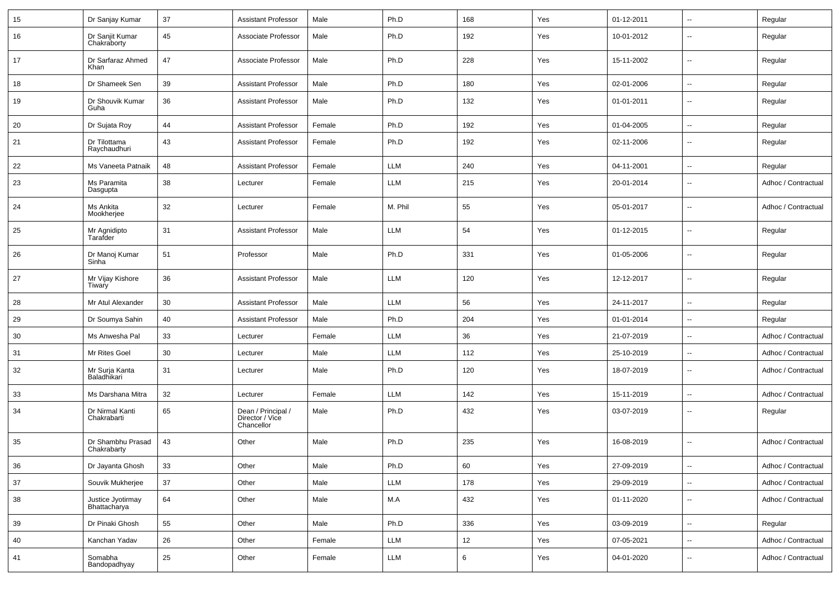| 15 | Dr Sanjay Kumar                   | 37     | <b>Assistant Professor</b>                          | Male   | Ph.D       | 168 | Yes | 01-12-2011 | $\sim$                   | Regular             |
|----|-----------------------------------|--------|-----------------------------------------------------|--------|------------|-----|-----|------------|--------------------------|---------------------|
| 16 | Dr Sanjit Kumar<br>Chakraborty    | 45     | Associate Professor                                 | Male   | Ph.D       | 192 | Yes | 10-01-2012 | --                       | Regular             |
| 17 | Dr Sarfaraz Ahmed<br>Khan         | 47     | Associate Professor                                 | Male   | Ph.D       | 228 | Yes | 15-11-2002 | $\overline{\phantom{a}}$ | Regular             |
| 18 | Dr Shameek Sen                    | 39     | <b>Assistant Professor</b>                          | Male   | Ph.D       | 180 | Yes | 02-01-2006 | $\overline{\phantom{a}}$ | Regular             |
| 19 | Dr Shouvik Kumar<br>Guha          | 36     | <b>Assistant Professor</b>                          | Male   | Ph.D       | 132 | Yes | 01-01-2011 | $\overline{\phantom{a}}$ | Regular             |
| 20 | Dr Sujata Roy                     | 44     | <b>Assistant Professor</b>                          | Female | Ph.D       | 192 | Yes | 01-04-2005 | $\overline{\phantom{a}}$ | Regular             |
| 21 | Dr Tilottama<br>Raychaudhuri      | 43     | <b>Assistant Professor</b>                          | Female | Ph.D       | 192 | Yes | 02-11-2006 | $\overline{\phantom{a}}$ | Regular             |
| 22 | Ms Vaneeta Patnaik                | 48     | <b>Assistant Professor</b>                          | Female | LLM        | 240 | Yes | 04-11-2001 | −−                       | Regular             |
| 23 | Ms Paramita<br>Dasgupta           | 38     | Lecturer                                            | Female | LLM        | 215 | Yes | 20-01-2014 | -−                       | Adhoc / Contractual |
| 24 | Ms Ankita<br>Mookherjee           | 32     | Lecturer                                            | Female | M. Phil    | 55  | Yes | 05-01-2017 | -−                       | Adhoc / Contractual |
| 25 | Mr Agnidipto<br>Tarafder          | 31     | <b>Assistant Professor</b>                          | Male   | LLM        | 54  | Yes | 01-12-2015 | -−                       | Regular             |
| 26 | Dr Manoj Kumar<br>Sinha           | 51     | Professor                                           | Male   | Ph.D       | 331 | Yes | 01-05-2006 | -−                       | Regular             |
| 27 | Mr Vijay Kishore<br>Tiwary        | 36     | <b>Assistant Professor</b>                          | Male   | <b>LLM</b> | 120 | Yes | 12-12-2017 | -−                       | Regular             |
| 28 | Mr Atul Alexander                 | 30     | <b>Assistant Professor</b>                          | Male   | <b>LLM</b> | 56  | Yes | 24-11-2017 | Ш.                       | Regular             |
| 29 | Dr Soumya Sahin                   | 40     | <b>Assistant Professor</b>                          | Male   | Ph.D       | 204 | Yes | 01-01-2014 | $\overline{\phantom{a}}$ | Regular             |
| 30 | Ms Anwesha Pal                    | 33     | Lecturer                                            | Female | LLM        | 36  | Yes | 21-07-2019 | ⊶.                       | Adhoc / Contractual |
| 31 | Mr Rites Goel                     | 30     | Lecturer                                            | Male   | LLM        | 112 | Yes | 25-10-2019 | -−                       | Adhoc / Contractual |
| 32 | Mr Surja Kanta<br>Baladhikari     | 31     | Lecturer                                            | Male   | Ph.D       | 120 | Yes | 18-07-2019 | ⊷.                       | Adhoc / Contractual |
| 33 | Ms Darshana Mitra                 | 32     | Lecturer                                            | Female | <b>LLM</b> | 142 | Yes | 15-11-2019 | ⊷.                       | Adhoc / Contractual |
| 34 | Dr Nirmal Kanti<br>Chakrabarti    | 65     | Dean / Principal /<br>Director / Vice<br>Chancellor | Male   | Ph.D       | 432 | Yes | 03-07-2019 | -−                       | Regular             |
| 35 | Dr Shambhu Prasad<br>Chakrabarty  | 43     | Other                                               | Male   | Ph.D       | 235 | Yes | 16-08-2019 | ⊷.                       | Adhoc / Contractual |
| 36 | Dr Jayanta Ghosh                  | 33     | Other                                               | Male   | Ph.D       | 60  | Yes | 27-09-2019 | н,                       | Adhoc / Contractual |
| 37 | Souvik Mukherjee                  | $37\,$ | Other                                               | Male   | LLM        | 178 | Yes | 29-09-2019 | $\sim$                   | Adhoc / Contractual |
| 38 | Justice Jyotirmay<br>Bhattacharya | 64     | Other                                               | Male   | M.A        | 432 | Yes | 01-11-2020 | ш.                       | Adhoc / Contractual |
| 39 | Dr Pinaki Ghosh                   | 55     | Other                                               | Male   | Ph.D       | 336 | Yes | 03-09-2019 | u.                       | Regular             |
| 40 | Kanchan Yadav                     | 26     | Other                                               | Female | LLM        | 12  | Yes | 07-05-2021 | Щ,                       | Adhoc / Contractual |
| 41 | Somabha<br><b>Bandopadhyay</b>    | $25\,$ | Other                                               | Female | LLM        | 6   | Yes | 04-01-2020 | $\sim$                   | Adhoc / Contractual |